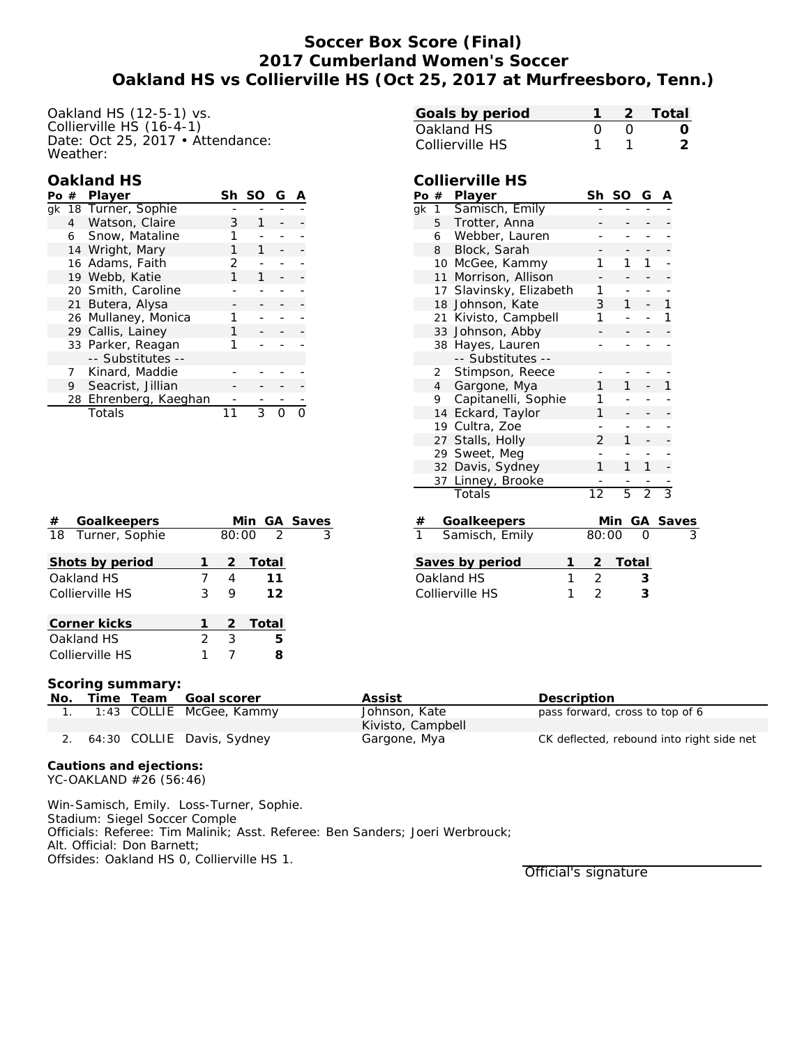## **Soccer Box Score (Final) 2017 Cumberland Women's Soccer Oakland HS vs Collierville HS (Oct 25, 2017 at Murfreesboro, Tenn.)**

Oakland HS (12-5-1) vs. Collierville HS (16-4-1) Date: Oct 25, 2017 • Áttendance: Weather:

#### **Oakland HS**

| Po # | Player                | Sh | <sub>SO</sub> | G |  |
|------|-----------------------|----|---------------|---|--|
|      | gk 18 Turner, Sophie  |    |               |   |  |
|      | 4 Watson, Claire      | З  |               |   |  |
|      | 6 Snow, Mataline      |    |               |   |  |
|      | 14 Wright, Mary       |    |               |   |  |
|      | 16 Adams, Faith       | フ  |               |   |  |
|      | 19 Webb, Katie        |    |               |   |  |
|      | 20 Smith, Caroline    |    |               |   |  |
|      | 21 Butera, Alysa      |    |               |   |  |
|      | 26 Mullaney, Monica   |    |               |   |  |
|      | 29 Callis, Lainey     |    |               |   |  |
|      | 33 Parker, Reagan     |    |               |   |  |
|      | -- Substitutes --     |    |               |   |  |
|      | Kinard, Maddie        |    |               |   |  |
| 9    | Seacrist, Jillian     |    |               |   |  |
|      | 28 Ehrenberg, Kaeghan |    |               |   |  |
|      | Totals                |    | 3             |   |  |

| Goals by period |  | 1 2 Total |
|-----------------|--|-----------|
| Oakland HS      |  |           |
| Collierville HS |  | ン         |

# **Collierville HS**

| Po # |                  | Player                  | Sh    | SO  | G              | A     |   |
|------|------------------|-------------------------|-------|-----|----------------|-------|---|
| qk   | 1                | Samisch, Emily          |       |     |                |       |   |
|      | 5                | Trotter, Anna           |       |     |                |       |   |
|      | 6                | Webber, Lauren          |       |     |                |       |   |
|      | 8                | Block, Sarah            |       |     |                |       |   |
|      | 10               | McGee, Kammy            | 1     | 1   | 1              |       |   |
|      | 11               | Morrison, Allison       |       |     |                |       |   |
|      |                  | 17 Slavinsky, Elizabeth | 1     |     |                |       |   |
|      |                  | 18 Johnson, Kate        | 3     | 1   |                | 1     |   |
|      |                  | 21 Kivisto, Campbell    | 1     |     |                | 1     |   |
|      |                  | 33 Johnson, Abby        |       |     |                |       |   |
|      |                  | 38 Hayes, Lauren        |       |     |                |       |   |
|      |                  | -- Substitutes --       |       |     |                |       |   |
|      | 2                | Stimpson, Reece         |       |     |                |       |   |
|      | $4 \overline{ }$ | Gargone, Mya            | 1     | 1   |                | 1     |   |
|      | 9.               | Capitanelli, Sophie     | 1     |     |                |       |   |
|      |                  | 14 Eckard, Taylor       | 1     |     |                |       |   |
|      |                  | 19 Cultra, Zoe          |       |     |                |       |   |
|      |                  | 27 Stalls, Holly        | 2     | 1   |                |       |   |
|      | 29               | Sweet, Meg              |       |     |                |       |   |
|      |                  | 32 Davis, Sydney        | 1     | 1   | 1              |       |   |
|      | 37               | Linney, Brooke          |       |     |                |       |   |
|      |                  | Totals                  | 12    | 5   | $\overline{2}$ | 3     |   |
|      |                  |                         |       |     |                |       |   |
| #    |                  | Goalkeepers             |       | Min | GA             | Saves |   |
| 1    |                  | Samisch, Emily          | 80:00 |     | Ο              |       | 3 |

| Saves by period |  | 2 Total |
|-----------------|--|---------|
| Oakland HS      |  |         |
| Collierville HS |  |         |

# Collierville HS 3 9 **12 Corner kicks 1 2 Total** Oakland HS 2 3 **5** Collierville HS 1 7 **8**

**Shots by period 1 2 Total** Oakland HS 7 4 **11**

**# Goalkeepers Min GA Saves** 18 Turner, Sophie 80:00 2 3

| Scoring summary: |  |
|------------------|--|
|                  |  |

| ______<br>No. | Time Team | Goal scorer                   | Assist            | Description                               |
|---------------|-----------|-------------------------------|-------------------|-------------------------------------------|
|               |           | 1:43 COLLIE McGee, Kammy      | Johnson, Kate     | pass forward, cross to top of 6           |
|               |           |                               | Kivisto, Campbell |                                           |
|               |           | 2. 64:30 COLLIE Davis, Sydney | Gargone, Mya      | CK deflected, rebound into right side net |

 $\overline{\phantom{a}}$ 

**Cautions and ejections:** YC-OAKLAND #26 (56:46)

Win-Samisch, Emily. Loss-Turner, Sophie. Stadium: Siegel Soccer Comple Officials: Referee: Tim Malinik; Asst. Referee: Ben Sanders; Joeri Werbrouck; Alt. Official: Don Barnett; Offsides: Oakland HS 0, Collierville HS 1.

Official's signature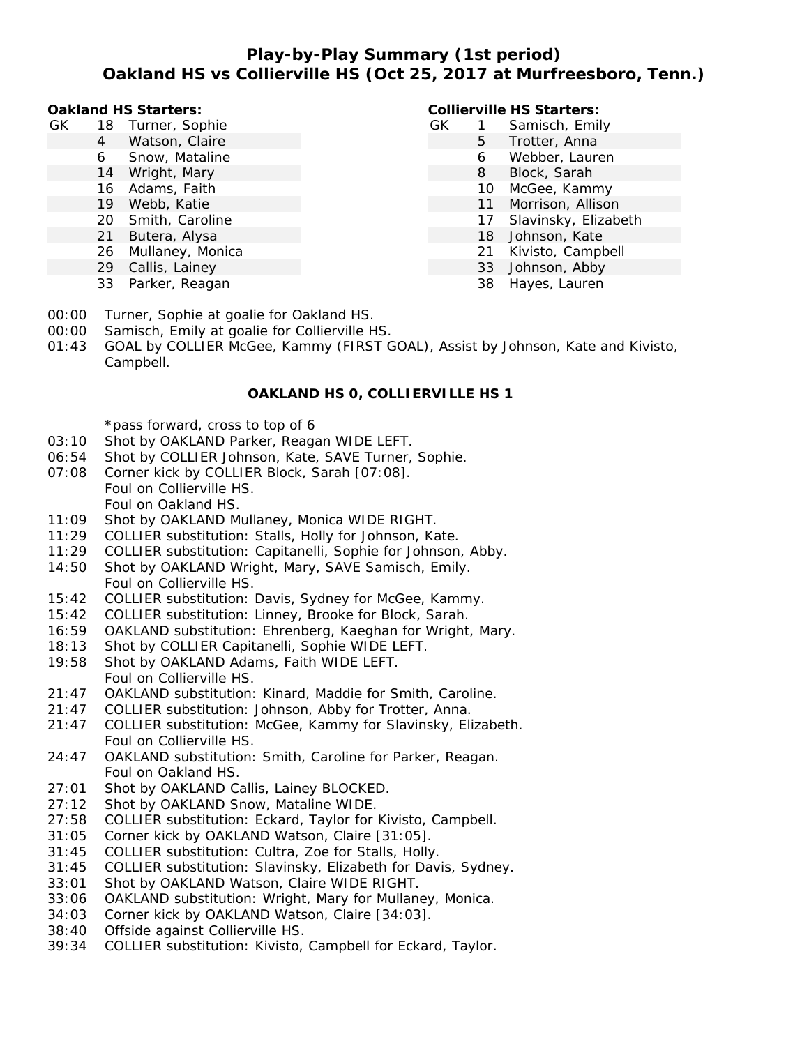## **Play-by-Play Summary (1st period) Oakland HS vs Collierville HS (Oct 25, 2017 at Murfreesboro, Tenn.)**

**Oakland HS Starters:**

- GK 18 Turner, Sophie
	- 4 Watson, Claire
	- 6 Snow, Mataline
	- 14 Wright, Mary
	- 16 Adams, Faith
	- 19 Webb, Katie
	- 20 Smith, Caroline
	- 21 Butera, Alysa
	- 26 Mullaney, Monica
	- 29 Callis, Lainey
	- 33 Parker, Reagan

**Collierville HS Starters:**

- GK 1 Samisch, Emily 5 Trotter, Anna
	- 6 Webber, Lauren
	- 8 Block, Sarah
	- 10 McGee, Kammy
	- 11 Morrison, Allison
	- 17 Slavinsky, Elizabeth
	- 18 Johnson, Kate
	-
	- 21 Kivisto, Campbell
	- 33 Johnson, Abby
	- 38 Hayes, Lauren
- 00:00 Turner, Sophie at goalie for Oakland HS.
- 00:00 Samisch, Emily at goalie for Collierville HS.
- 01:43 GOAL by COLLIER McGee, Kammy (FIRST GOAL), Assist by Johnson, Kate and Kivisto, Campbell.

#### **OAKLAND HS 0, COLLIERVILLE HS 1**

\*pass forward, cross to top of 6

- 03:10 Shot by OAKLAND Parker, Reagan WIDE LEFT.
- 06:54 Shot by COLLIER Johnson, Kate, SAVE Turner, Sophie.
- 07:08 Corner kick by COLLIER Block, Sarah [07:08]. Foul on Collierville HS.
	- Foul on Oakland HS.
- 11:09 Shot by OAKLAND Mullaney, Monica WIDE RIGHT.
- 11:29 COLLIER substitution: Stalls, Holly for Johnson, Kate.
- 11:29 COLLIER substitution: Capitanelli, Sophie for Johnson, Abby.
- 14:50 Shot by OAKLAND Wright, Mary, SAVE Samisch, Emily. Foul on Collierville HS.
- 15:42 COLLIER substitution: Davis, Sydney for McGee, Kammy.
- 15:42 COLLIER substitution: Linney, Brooke for Block, Sarah.
- 16:59 OAKLAND substitution: Ehrenberg, Kaeghan for Wright, Mary.
- 18:13 Shot by COLLIER Capitanelli, Sophie WIDE LEFT.
- 19:58 Shot by OAKLAND Adams, Faith WIDE LEFT. Foul on Collierville HS.
- 21:47 OAKLAND substitution: Kinard, Maddie for Smith, Caroline.
- 21:47 COLLIER substitution: Johnson, Abby for Trotter, Anna.
- 21:47 COLLIER substitution: McGee, Kammy for Slavinsky, Elizabeth. Foul on Collierville HS.
- 24:47 OAKLAND substitution: Smith, Caroline for Parker, Reagan. Foul on Oakland HS.
- 27:01 Shot by OAKLAND Callis, Lainey BLOCKED.
- 27:12 Shot by OAKLAND Snow, Mataline WIDE.
- 27:58 COLLIER substitution: Eckard, Taylor for Kivisto, Campbell.
- 31:05 Corner kick by OAKLAND Watson, Claire [31:05].
- 31:45 COLLIER substitution: Cultra, Zoe for Stalls, Holly.
- 31:45 COLLIER substitution: Slavinsky, Elizabeth for Davis, Sydney.
- 33:01 Shot by OAKLAND Watson, Claire WIDE RIGHT.
- 33:06 OAKLAND substitution: Wright, Mary for Mullaney, Monica.
- 34:03 Corner kick by OAKLAND Watson, Claire [34:03].
- 38:40 Offside against Collierville HS.
- 39:34 COLLIER substitution: Kivisto, Campbell for Eckard, Taylor.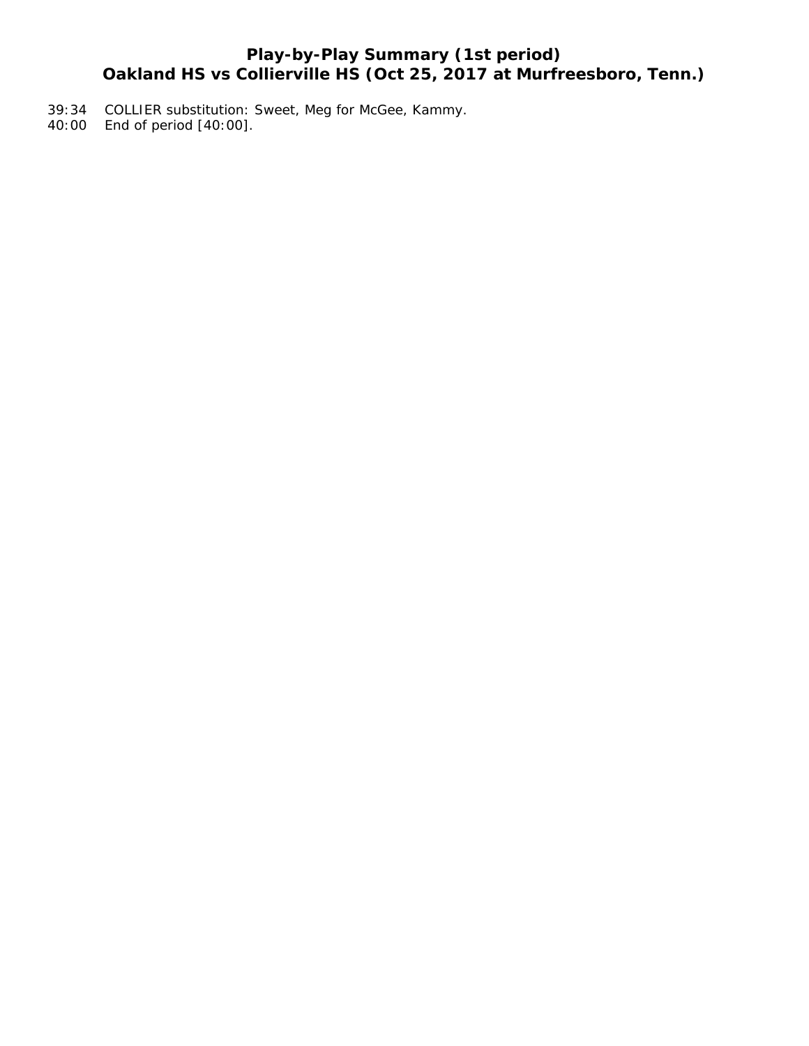## **Play-by-Play Summary (1st period) Oakland HS vs Collierville HS (Oct 25, 2017 at Murfreesboro, Tenn.)**

- 39:34 COLLIER substitution: Sweet, Meg for McGee, Kammy.
- 40:00 End of period [40:00].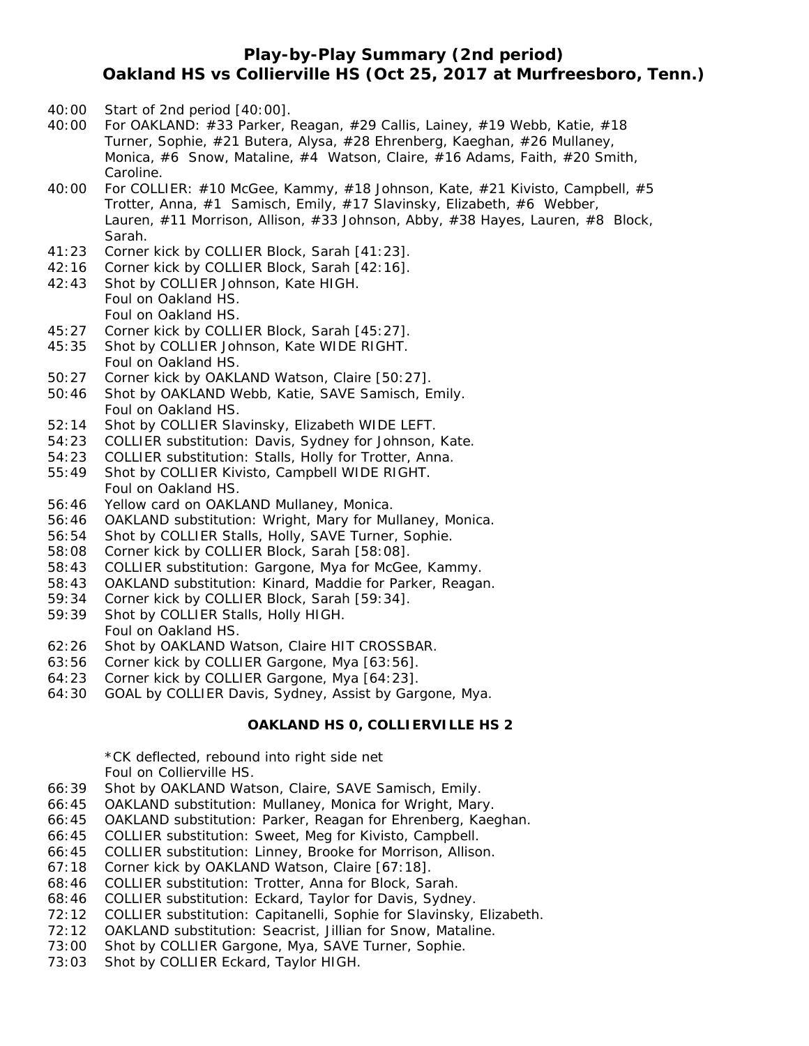## **Play-by-Play Summary (2nd period) Oakland HS vs Collierville HS (Oct 25, 2017 at Murfreesboro, Tenn.)**

- 40:00 Start of 2nd period [40:00].
- 40:00 For OAKLAND: #33 Parker, Reagan, #29 Callis, Lainey, #19 Webb, Katie, #18 Turner, Sophie, #21 Butera, Alysa, #28 Ehrenberg, Kaeghan, #26 Mullaney, Monica, #6 Snow, Mataline, #4 Watson, Claire, #16 Adams, Faith, #20 Smith, Caroline.
- 40:00 For COLLIER: #10 McGee, Kammy, #18 Johnson, Kate, #21 Kivisto, Campbell, #5 Trotter, Anna, #1 Samisch, Emily, #17 Slavinsky, Elizabeth, #6 Webber, Lauren, #11 Morrison, Allison, #33 Johnson, Abby, #38 Hayes, Lauren, #8 Block, Sarah.
- 41:23 Corner kick by COLLIER Block, Sarah [41:23].
- 42:16 Corner kick by COLLIER Block, Sarah [42:16].
- 42:43 Shot by COLLIER Johnson, Kate HIGH. Foul on Oakland HS. Foul on Oakland HS.
- 45:27 Corner kick by COLLIER Block, Sarah [45:27].
- 45:35 Shot by COLLIER Johnson, Kate WIDE RIGHT. Foul on Oakland HS.
- 50:27 Corner kick by OAKLAND Watson, Claire [50:27].
- 50:46 Shot by OAKLAND Webb, Katie, SAVE Samisch, Emily. Foul on Oakland HS.
- 52:14 Shot by COLLIER Slavinsky, Elizabeth WIDE LEFT.
- 54:23 COLLIER substitution: Davis, Sydney for Johnson, Kate.
- 54:23 COLLIER substitution: Stalls, Holly for Trotter, Anna. 55:49 Shot by COLLIER Kivisto, Campbell WIDE RIGHT. Foul on Oakland HS.
- 56:46 Yellow card on OAKLAND Mullaney, Monica.
- 56:46 OAKLAND substitution: Wright, Mary for Mullaney, Monica.
- 56:54 Shot by COLLIER Stalls, Holly, SAVE Turner, Sophie.
- 58:08 Corner kick by COLLIER Block, Sarah [58:08].
- 58:43 COLLIER substitution: Gargone, Mya for McGee, Kammy.
- 58:43 OAKLAND substitution: Kinard, Maddie for Parker, Reagan.
- 59:34 Corner kick by COLLIER Block, Sarah [59:34].
- 59:39 Shot by COLLIER Stalls, Holly HIGH. Foul on Oakland HS.
- 62:26 Shot by OAKLAND Watson, Claire HIT CROSSBAR.
- 63:56 Corner kick by COLLIER Gargone, Mya [63:56].
- 64:23 Corner kick by COLLIER Gargone, Mya [64:23].
- 64:30 GOAL by COLLIER Davis, Sydney, Assist by Gargone, Mya.

#### **OAKLAND HS 0, COLLIERVILLE HS 2**

\*CK deflected, rebound into right side net Foul on Collierville HS.

- 66:39 Shot by OAKLAND Watson, Claire, SAVE Samisch, Emily.
- 66:45 OAKLAND substitution: Mullaney, Monica for Wright, Mary.
- 66:45 OAKLAND substitution: Parker, Reagan for Ehrenberg, Kaeghan.
- 66:45 COLLIER substitution: Sweet, Meg for Kivisto, Campbell.
- 66:45 COLLIER substitution: Linney, Brooke for Morrison, Allison.
- 67:18 Corner kick by OAKLAND Watson, Claire [67:18].
- 68:46 COLLIER substitution: Trotter, Anna for Block, Sarah.
- 68:46 COLLIER substitution: Eckard, Taylor for Davis, Sydney.
- 72:12 COLLIER substitution: Capitanelli, Sophie for Slavinsky, Elizabeth.
- 72:12 OAKLAND substitution: Seacrist, Jillian for Snow, Mataline.
- 73:00 Shot by COLLIER Gargone, Mya, SAVE Turner, Sophie.
- 73:03 Shot by COLLIER Eckard, Taylor HIGH.